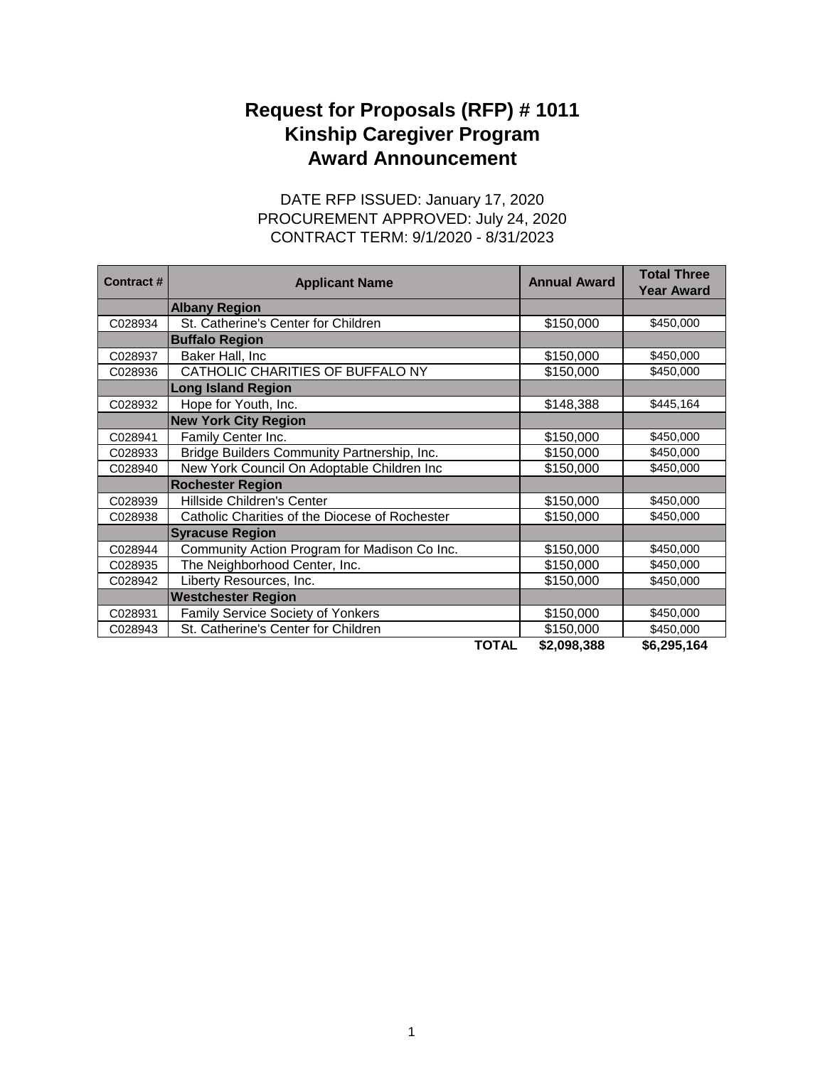## **Award Announcement Request for Proposals (RFP) # 1011 Kinship Caregiver Program**

## CONTRACT TERM: 9/1/2020 - 8/31/2023 DATE RFP ISSUED: January 17, 2020 PROCUREMENT APPROVED: July 24, 2020

| Contract# | <b>Applicant Name</b>                          |              | <b>Annual Award</b> | <b>Total Three</b><br><b>Year Award</b> |
|-----------|------------------------------------------------|--------------|---------------------|-----------------------------------------|
|           | <b>Albany Region</b>                           |              |                     |                                         |
| C028934   | St. Catherine's Center for Children            |              | \$150,000           | \$450,000                               |
|           | <b>Buffalo Region</b>                          |              |                     |                                         |
| C028937   | Baker Hall, Inc                                |              | \$150,000           | \$450,000                               |
| C028936   | CATHOLIC CHARITIES OF BUFFALO NY               |              | \$150,000           | \$450,000                               |
|           | <b>Long Island Region</b>                      |              |                     |                                         |
| C028932   | Hope for Youth, Inc.                           |              | \$148,388           | \$445,164                               |
|           | <b>New York City Region</b>                    |              |                     |                                         |
| C028941   | Family Center Inc.                             |              | \$150,000           | \$450,000                               |
| C028933   | Bridge Builders Community Partnership, Inc.    |              | \$150,000           | \$450,000                               |
| C028940   | New York Council On Adoptable Children Inc     |              | \$150,000           | \$450,000                               |
|           | <b>Rochester Region</b>                        |              |                     |                                         |
| C028939   | Hillside Children's Center                     |              | \$150,000           | \$450,000                               |
| C028938   | Catholic Charities of the Diocese of Rochester |              | \$150,000           | \$450,000                               |
|           | <b>Syracuse Region</b>                         |              |                     |                                         |
| C028944   | Community Action Program for Madison Co Inc.   |              | \$150,000           | \$450,000                               |
| C028935   | The Neighborhood Center, Inc.                  |              | \$150,000           | \$450,000                               |
| C028942   | Liberty Resources, Inc.                        |              | \$150,000           | \$450,000                               |
|           | <b>Westchester Region</b>                      |              |                     |                                         |
| C028931   | <b>Family Service Society of Yonkers</b>       |              | \$150,000           | \$450,000                               |
| C028943   | St. Catherine's Center for Children            |              | \$150,000           | \$450,000                               |
|           |                                                | <b>TOTAL</b> | \$2,098,388         | \$6,295,164                             |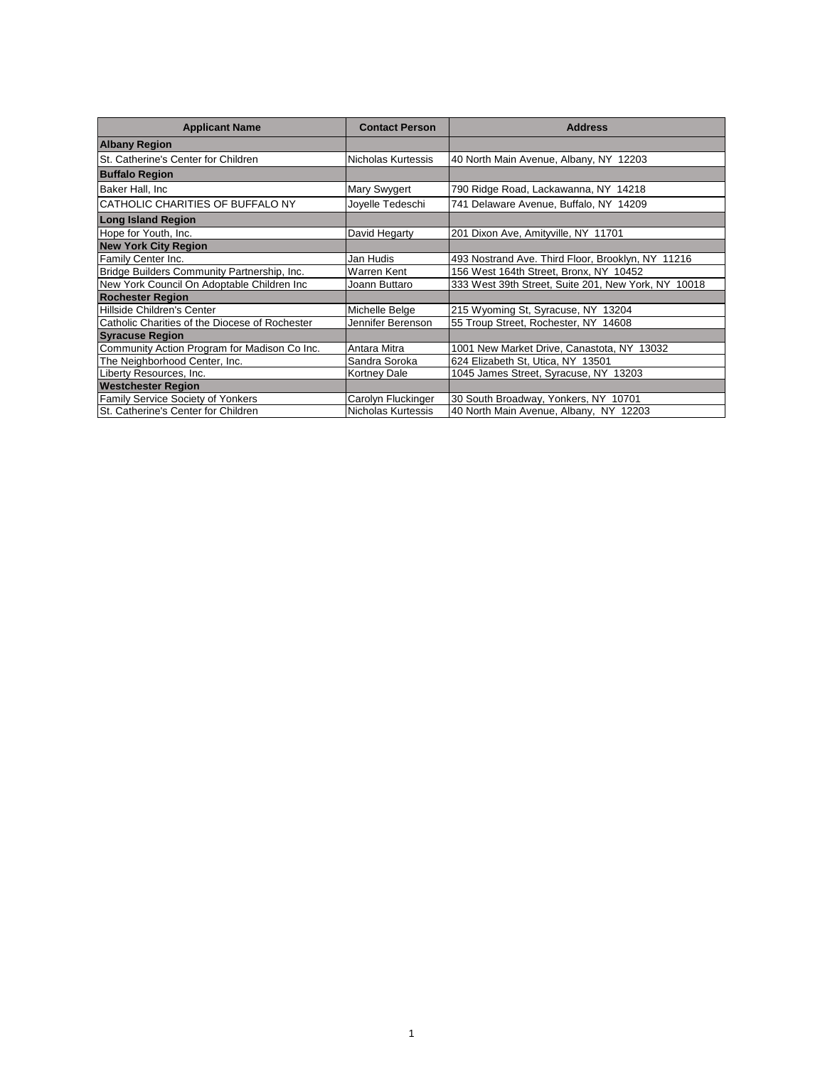| <b>Applicant Name</b>                          | <b>Contact Person</b> | <b>Address</b>                                      |
|------------------------------------------------|-----------------------|-----------------------------------------------------|
| <b>Albany Region</b>                           |                       |                                                     |
| St. Catherine's Center for Children            | Nicholas Kurtessis    | 40 North Main Avenue, Albany, NY 12203              |
| <b>Buffalo Region</b>                          |                       |                                                     |
| Baker Hall, Inc.                               | Mary Swygert          | 790 Ridge Road, Lackawanna, NY 14218                |
| CATHOLIC CHARITIES OF BUFFALO NY               | Joyelle Tedeschi      | 741 Delaware Avenue, Buffalo, NY 14209              |
| <b>Long Island Region</b>                      |                       |                                                     |
| Hope for Youth, Inc.                           | David Hegarty         | 201 Dixon Ave, Amityville, NY 11701                 |
| <b>New York City Region</b>                    |                       |                                                     |
| Family Center Inc.                             | Jan Hudis             | 493 Nostrand Ave. Third Floor, Brooklyn, NY 11216   |
| Bridge Builders Community Partnership, Inc.    | Warren Kent           | 156 West 164th Street, Bronx, NY 10452              |
| New York Council On Adoptable Children Inc     | Joann Buttaro         | 333 West 39th Street, Suite 201, New York, NY 10018 |
| <b>Rochester Region</b>                        |                       |                                                     |
| Hillside Children's Center                     | Michelle Belge        | 215 Wyoming St, Syracuse, NY 13204                  |
| Catholic Charities of the Diocese of Rochester | Jennifer Berenson     | 55 Troup Street, Rochester, NY 14608                |
| <b>Syracuse Region</b>                         |                       |                                                     |
| Community Action Program for Madison Co Inc.   | Antara Mitra          | 1001 New Market Drive, Canastota, NY 13032          |
| The Neighborhood Center, Inc.                  | Sandra Soroka         | 624 Elizabeth St, Utica, NY 13501                   |
| Liberty Resources, Inc.                        | Kortney Dale          | 1045 James Street, Syracuse, NY 13203               |
| <b>Westchester Region</b>                      |                       |                                                     |
| Family Service Society of Yonkers              | Carolyn Fluckinger    | 30 South Broadway, Yonkers, NY 10701                |
| St. Catherine's Center for Children            | Nicholas Kurtessis    | 40 North Main Avenue, Albany, NY 12203              |